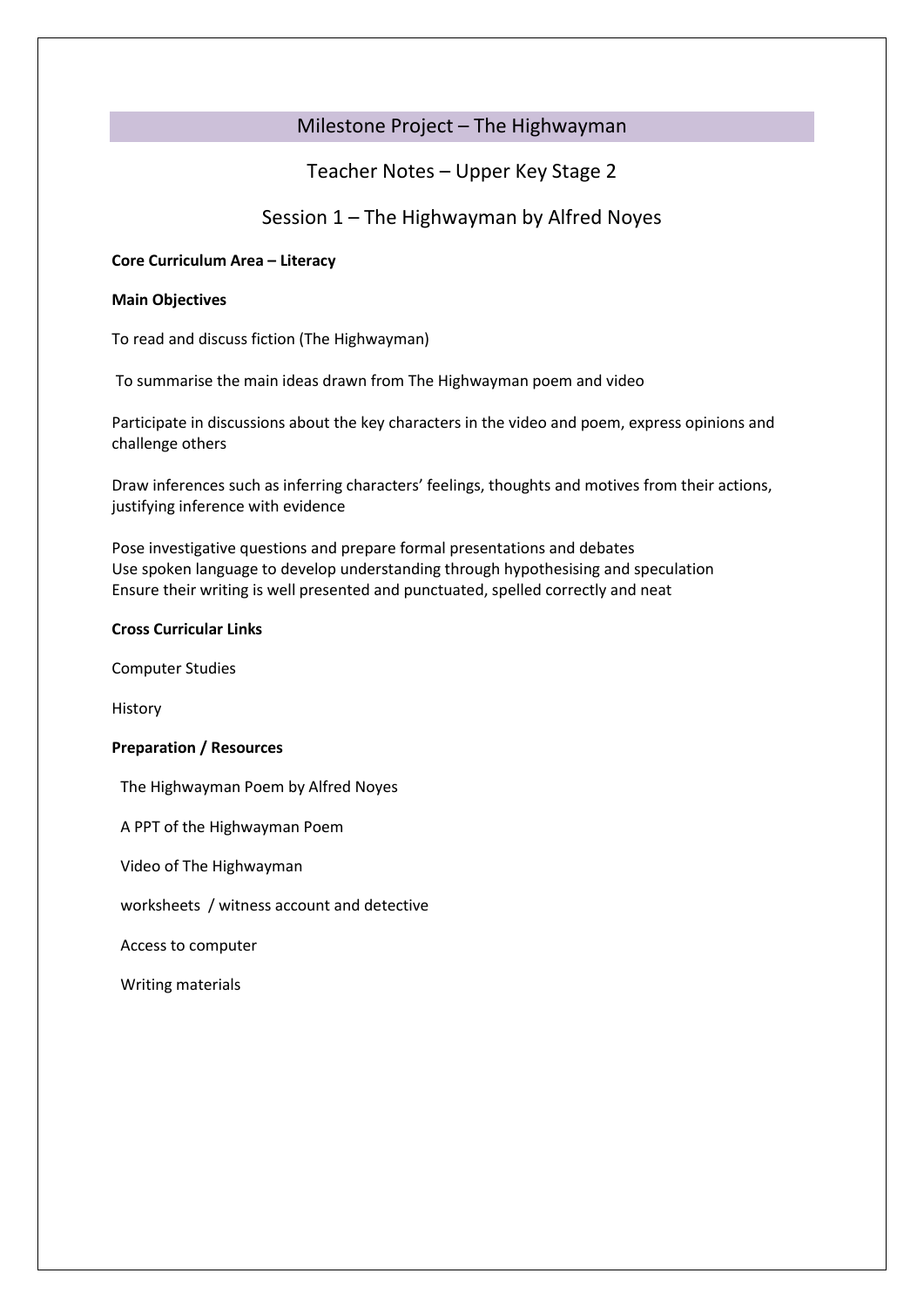# Milestone Project – The Highwayman

# Teacher Notes – Upper Key Stage 2

# Session 1 – The Highwayman by Alfred Noyes

### **Core Curriculum Area – Literacy**

### **Main Objectives**

To read and discuss fiction (The Highwayman)

To summarise the main ideas drawn from The Highwayman poem and video

Participate in discussions about the key characters in the video and poem, express opinions and challenge others

Draw inferences such as inferring characters' feelings, thoughts and motives from their actions, justifying inference with evidence

Pose investigative questions and prepare formal presentations and debates Use spoken language to develop understanding through hypothesising and speculation Ensure their writing is well presented and punctuated, spelled correctly and neat

### **Cross Curricular Links**

Computer Studies

History

### **Preparation / Resources**

The Highwayman Poem by Alfred Noyes

A PPT of the Highwayman Poem

Video of The Highwayman

worksheets / witness account and detective

Access to computer

Writing materials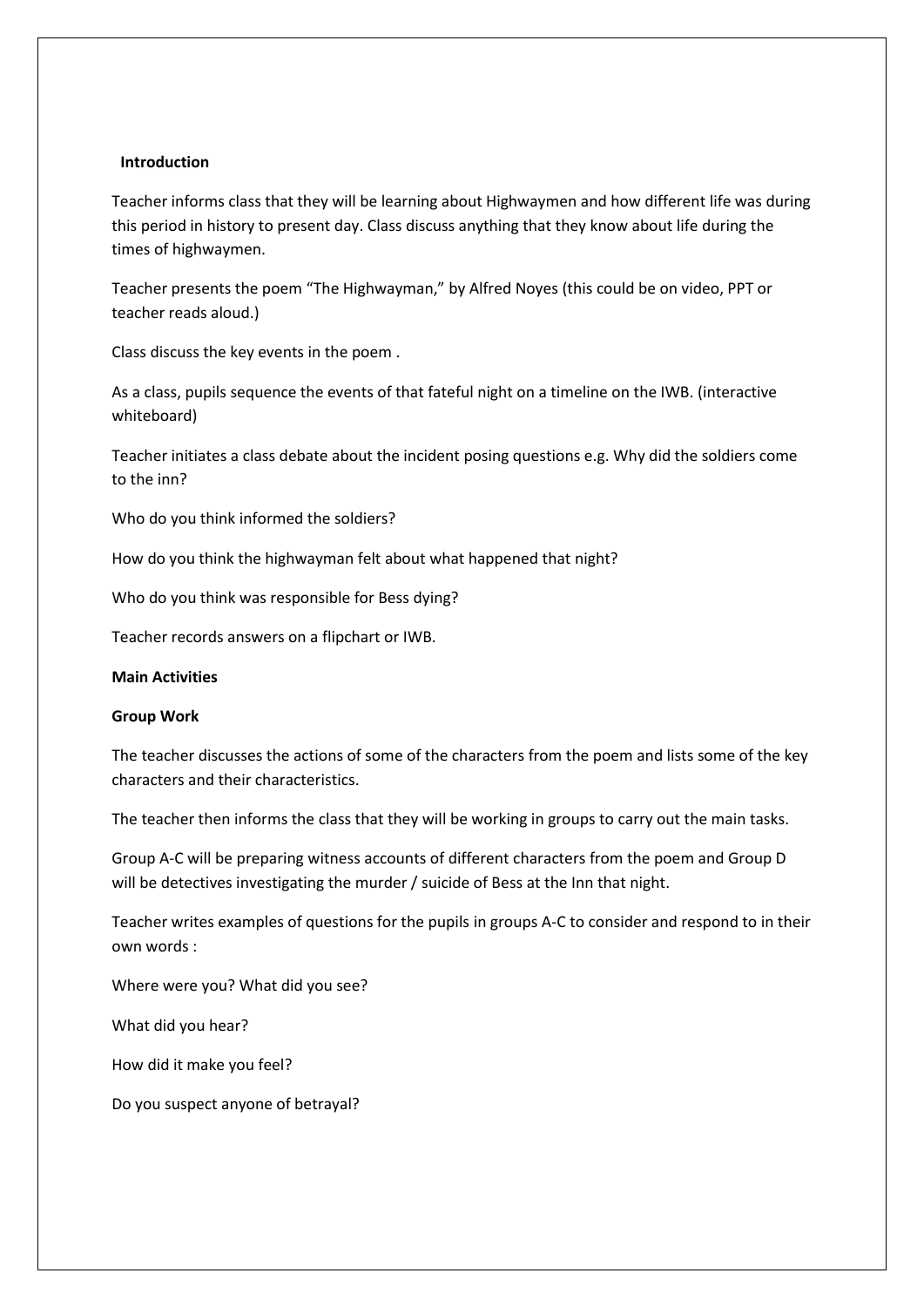### **Introduction**

Teacher informs class that they will be learning about Highwaymen and how different life was during this period in history to present day. Class discuss anything that they know about life during the times of highwaymen.

Teacher presents the poem "The Highwayman," by Alfred Noyes (this could be on video, PPT or teacher reads aloud.)

Class discuss the key events in the poem .

As a class, pupils sequence the events of that fateful night on a timeline on the IWB. (interactive whiteboard)

Teacher initiates a class debate about the incident posing questions e.g. Why did the soldiers come to the inn?

Who do you think informed the soldiers?

How do you think the highwayman felt about what happened that night?

Who do you think was responsible for Bess dying?

Teacher records answers on a flipchart or IWB.

#### **Main Activities**

#### **Group Work**

The teacher discusses the actions of some of the characters from the poem and lists some of the key characters and their characteristics.

The teacher then informs the class that they will be working in groups to carry out the main tasks.

Group A-C will be preparing witness accounts of different characters from the poem and Group D will be detectives investigating the murder / suicide of Bess at the Inn that night.

Teacher writes examples of questions for the pupils in groups A-C to consider and respond to in their own words :

Where were you? What did you see?

What did you hear?

How did it make you feel?

Do you suspect anyone of betrayal?